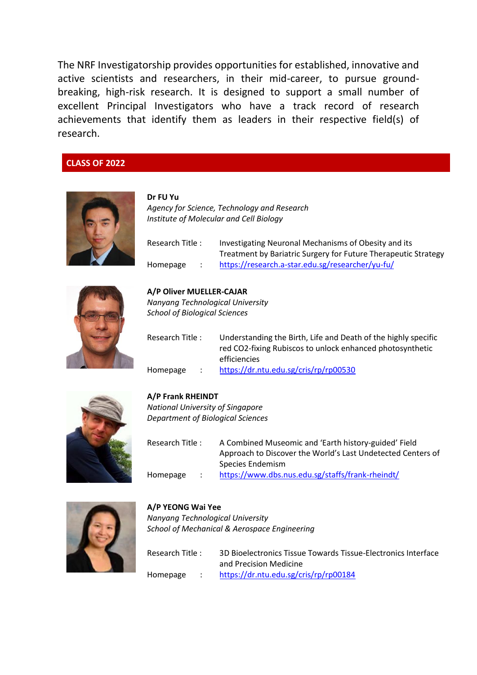The NRF Investigatorship provides opportunities for established, innovative and active scientists and researchers, in their mid-career, to pursue groundbreaking, high-risk research. It is designed to support a small number of excellent Principal Investigators who have a track record of research achievements that identify them as leaders in their respective field(s) of research.

## **CLASS OF 2022**



**Dr FU Yu** *Agency for Science, Technology and Research Institute of Molecular and Cell Biology*

| Research Title: | Investigating Neuronal Mechanisms of Obesity and its           |
|-----------------|----------------------------------------------------------------|
|                 | Treatment by Bariatric Surgery for Future Therapeutic Strategy |
| Homepage        | https://research.a-star.edu.sg/researcher/yu-fu/               |



# **A/P Oliver MUELLER-CAJAR**

*Nanyang Technological University School of Biological Sciences*

| Research Title : | Understanding the Birth, Life and Death of the highly specific |
|------------------|----------------------------------------------------------------|
|                  | red CO2-fixing Rubiscos to unlock enhanced photosynthetic      |
|                  | efficiencies                                                   |
| Homepage         | https://dr.ntu.edu.sg/cris/rp/rp00530                          |



## **A/P Frank RHEINDT**

*National University of Singapore Department of Biological Sciences*

| Research Title : | A Combined Museomic and 'Earth history-guided' Field        |
|------------------|-------------------------------------------------------------|
|                  | Approach to Discover the World's Last Undetected Centers of |
|                  | Species Endemism                                            |
| Homepage         | https://www.dbs.nus.edu.sg/staffs/frank-rheindt/            |



## **A/P YEONG Wai Yee**

*Nanyang Technological University School of Mechanical & Aerospace Engineering*

| Research Title : |  | 3D Bioelectronics Tissue Towards Tissue-Electronics Interface<br>and Precision Medicine |
|------------------|--|-----------------------------------------------------------------------------------------|
| Homepage         |  | https://dr.ntu.edu.sg/cris/rp/rp00184                                                   |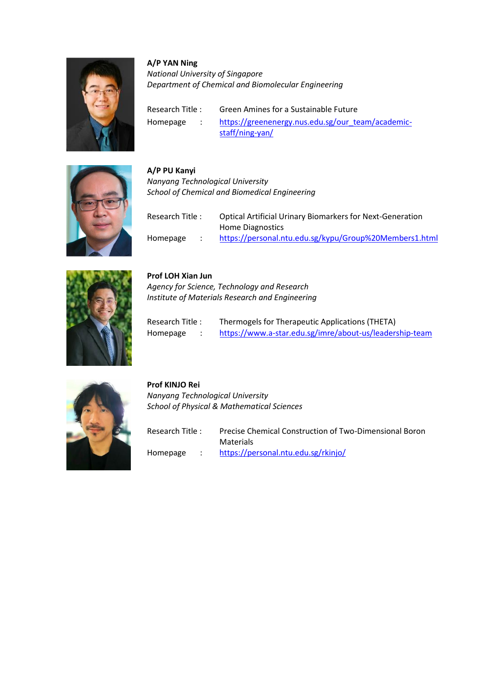

## **A/P YAN Ning**

*National University of Singapore Department of Chemical and Biomolecular Engineering*

Research Title : Green Amines for a Sustainable Future Homepage : [https://greenenergy.nus.edu.sg/our\\_team/academic](https://greenenergy.nus.edu.sg/our_team/academic-staff/ning-yan/)[staff/ning-yan/](https://greenenergy.nus.edu.sg/our_team/academic-staff/ning-yan/)



**A/P PU Kanyi** *Nanyang Technological University School of Chemical and Biomedical Engineering*

| Research Title : |  | <b>Optical Artificial Urinary Biomarkers for Next-Generation</b> |
|------------------|--|------------------------------------------------------------------|
|                  |  | Home Diagnostics                                                 |
| Homepage         |  | https://personal.ntu.edu.sg/kypu/Group%20Members1.html           |



## **Prof LOH Xian Jun**

**Prof KINJO Rei**

*Agency for Science, Technology and Research Institute of Materials Research and Engineering*

| Research Title: | Thermogels for Therapeutic Applications (THETA)         |
|-----------------|---------------------------------------------------------|
| Homepage        | https://www.a-star.edu.sg/imre/about-us/leadership-team |



*Nanyang Technological University School of Physical & Mathematical Sciences*

| Research Title : |  | Precise Chemical Construction of Two-Dimensional Boron |
|------------------|--|--------------------------------------------------------|
|                  |  | Materials                                              |
| Homepage         |  | https://personal.ntu.edu.sg/rkinjo/                    |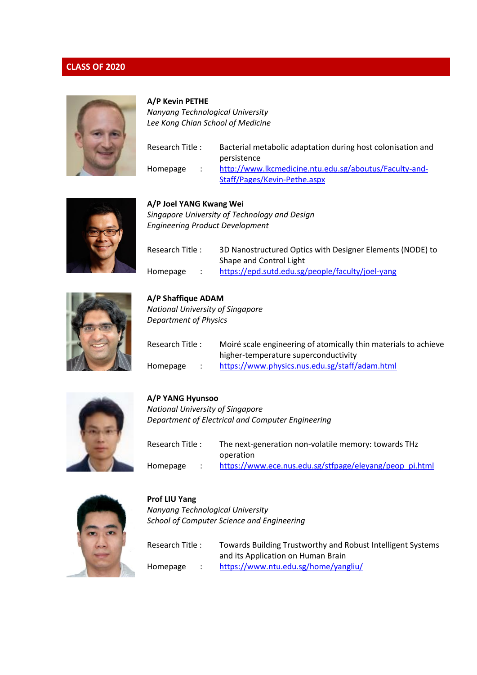

## **A/P Kevin PETHE**

*Nanyang Technological University Lee Kong Chian School of Medicine*

| Research Title: |  | Bacterial metabolic adaptation during host colonisation and |
|-----------------|--|-------------------------------------------------------------|
|                 |  | persistence                                                 |
| Homepage        |  | http://www.lkcmedicine.ntu.edu.sg/aboutus/Faculty-and-      |
|                 |  | Staff/Pages/Kevin-Pethe.aspx                                |



**A/P Joel YANG Kwang Wei** *Singapore University of Technology and Design Engineering Product Development*

| Research Title: | 3D Nanostructured Optics with Designer Elements (NODE) to |
|-----------------|-----------------------------------------------------------|
|                 | Shape and Control Light                                   |
| Homepage        | https://epd.sutd.edu.sg/people/faculty/joel-yang          |



**A/P Shaffique ADAM** *National University of Singapore Department of Physics*

| Research Title : | Moiré scale engineering of atomically thin materials to achieve |
|------------------|-----------------------------------------------------------------|
|                  | higher-temperature superconductivity                            |
| Homepage         | https://www.physics.nus.edu.sg/staff/adam.html                  |



## **A/P YANG Hyunsoo**

*National University of Singapore Department of Electrical and Computer Engineering*

| Research Title : |  | The next-generation non-volatile memory: towards THz    |
|------------------|--|---------------------------------------------------------|
|                  |  | operation                                               |
| Homepage         |  | https://www.ece.nus.edu.sg/stfpage/eleyang/peop_pi.html |



# **Prof LIU Yang**

*Nanyang Technological University School of Computer Science and Engineering*

Research Title : Towards Building Trustworthy and Robust Intelligent Systems and its Application on Human Brain Homepage : <https://www.ntu.edu.sg/home/yangliu/>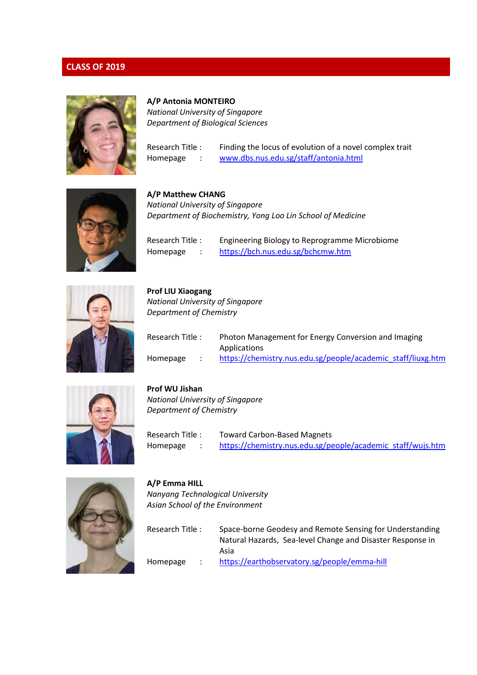

#### **A/P Antonia MONTEIRO**

*National University of Singapore Department of Biological Sciences*

Research Title : Finding the locus of evolution of a novel complex trait Homepage : [www.dbs.nus.edu.sg/staff/antonia.html](http://www.dbs.nus.edu.sg/staff/antonia.html)



**A/P Matthew CHANG** *National University of Singapore Department of Biochemistry, Yong Loo Lin School of Medicine*

Research Title : Engineering Biology to Reprogramme Microbiome Homepage : https://bch.nus.edu.sg/bchcmw.htm



**Prof LIU Xiaogang** *National University of Singapore Department of Chemistry*

| Research Title: | Photon Management for Energy Conversion and Imaging          |
|-----------------|--------------------------------------------------------------|
|                 | Applications                                                 |
| Homepage        | https://chemistry.nus.edu.sg/people/academic staff/liuxg.htm |



**Prof WU Jishan**

**A/P Emma HILL**

*National University of Singapore Department of Chemistry*

*Nanyang Technological University Asian School of the Environment*

Research Title : Toward Carbon-Based Magnets Homepage : [https://chemistry.nus.edu.sg/people/academic\\_staff/wujs.htm](https://chemistry.nus.edu.sg/people/academic_staff/wujs.htm) 



| Research Title : |  | Space-borne Geodesy and Remote Sensing for Understanding<br>Natural Hazards, Sea-level Change and Disaster Response in<br>Asia |  |
|------------------|--|--------------------------------------------------------------------------------------------------------------------------------|--|
| Homepage         |  | https://earthobservatory.sg/people/emma-hill                                                                                   |  |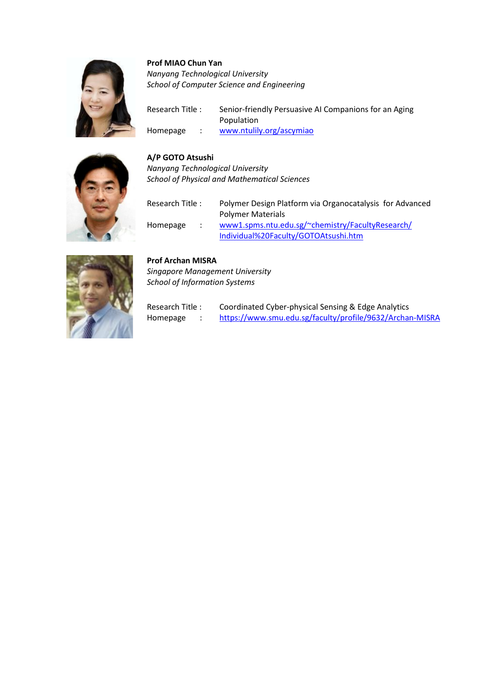

## **Prof MIAO Chun Yan**

*Nanyang Technological University School of Computer Science and Engineering*

Research Title : Senior-friendly Persuasive AI Companions for an Aging Population Homepage : [www.ntulily.org/ascymiao](http://www.ntulily.org/ascymiao)

## **A/P GOTO Atsushi**

*Nanyang Technological University School of Physical and Mathematical Sciences*

| Research Title: | Polymer Design Platform via Organocatalysis for Advanced<br><b>Polymer Materials</b>     |
|-----------------|------------------------------------------------------------------------------------------|
| Homepage        | www1.spms.ntu.edu.sg/~chemistry/FacultyResearch/<br>Individual%20Faculty/GOTOAtsushi.htm |



## **Prof Archan MISRA**

*Singapore Management University School of Information Systems*

Research Title : Coordinated Cyber-physical Sensing & Edge Analytics Homepage : https:/[/www.smu.edu.sg/faculty/profile/9632/A](http://www.smu.edu.sg/faculty/profile/9632/)rchan-MISRA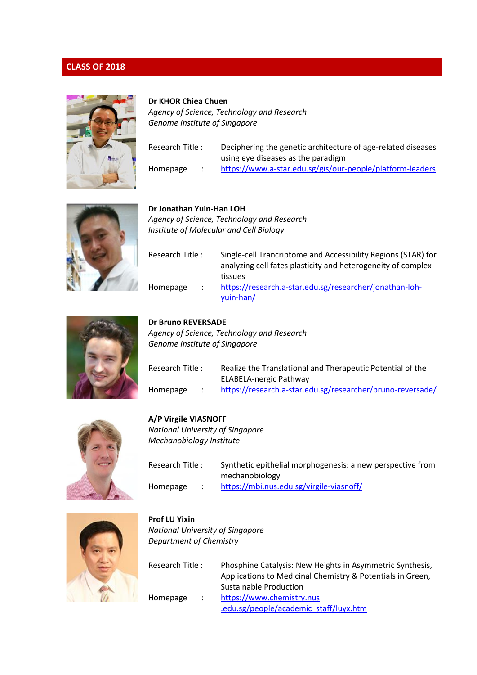

#### **Dr KHOR Chiea Chuen**

*Agency of Science, Technology and Research Genome Institute of Singapore*

| Research Title : | Deciphering the genetic architecture of age-related diseases |
|------------------|--------------------------------------------------------------|
|                  | using eye diseases as the paradigm                           |
| Homepage         | https://www.a-star.edu.sg/gis/our-people/platform-leaders    |



**Dr Jonathan Yuin-Han LOH** *Agency of Science, Technology and Research Institute of Molecular and Cell Biology*

| Research Title : |                      | Single-cell Trancriptome and Accessibility Regions (STAR) for<br>analyzing cell fates plasticity and heterogeneity of complex |
|------------------|----------------------|-------------------------------------------------------------------------------------------------------------------------------|
|                  |                      | tissues                                                                                                                       |
| Homepage         | $\ddot{\phantom{0}}$ | https://research.a-star.edu.sg/researcher/jonathan-loh-                                                                       |
|                  |                      | yuin-han/                                                                                                                     |



## **Dr Bruno REVERSADE**

*Agency of Science, Technology and Research Genome Institute of Singapore*

| Research Title: |  | Realize the Translational and Therapeutic Potential of the |
|-----------------|--|------------------------------------------------------------|
|                 |  | ELABELA-nergic Pathway                                     |
| Homepage        |  | https://research.a-star.edu.sg/researcher/bruno-reversade/ |



#### **A/P Virgile VIASNOFF**

*National University of Singapore Mechanobiology Institute*

| Research Title: | Synthetic epithelial morphogenesis: a new perspective from |
|-----------------|------------------------------------------------------------|
|                 | mechanobiology                                             |
| Homepage        | https://mbi.nus.edu.sg/virgile-viasnoff/                   |



## **Prof LU Yixin** *National University of Singapore Department of Chemistry*

Research Title : Phosphine Catalysis: New Heights in Asymmetric Synthesis, Applications to Medicinal Chemistry & Potentials in Green, Sustainable Production Homepage : [https://www.chemistry.nus](https://www.chemistry.nus.edu.sg/people/academic_staff/luyx.htm) [.edu.sg/people/academic\\_staff/luyx.htm](https://www.chemistry.nus.edu.sg/people/academic_staff/luyx.htm)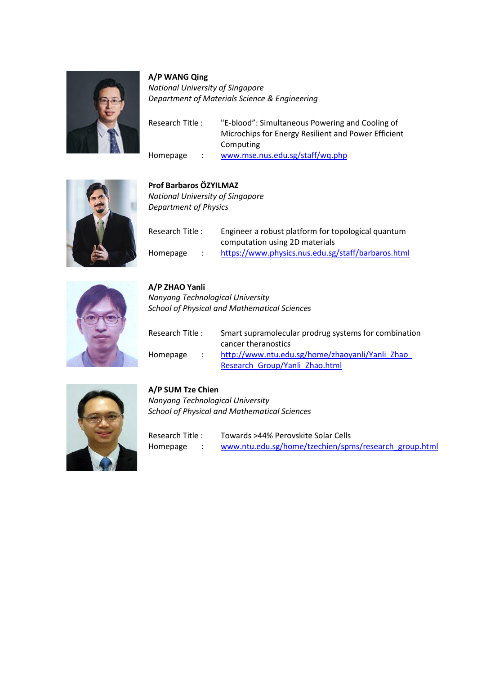

**A/P WANG Qing** *National University of Singapore Department of Materials Science & Engineering*

| Research Title: | "E-blood": Simultaneous Powering and Cooling of     |
|-----------------|-----------------------------------------------------|
|                 | Microchips for Energy Resilient and Power Efficient |
|                 | Computing                                           |
| Homepage        | www.mse.nus.edu.sg/staff/wq.php                     |



## **Prof Barbaros Ö ZYILMAZ**

*National University of Singapore Department of Physics*

| Research Title: |  | Engineer a robust platform for topological quantum<br>computation using 2D materials |
|-----------------|--|--------------------------------------------------------------------------------------|
| Homepage        |  | https://www.physics.nus.edu.sg/staff/barbaros.html                                   |



**A/P ZHAO Yanli** *Nanyang Technological University School of Physical and Mathematical Sciences*

| Research Title: | Smart supramolecular prodrug systems for combination                   |
|-----------------|------------------------------------------------------------------------|
| Homepage        | cancer theranostics<br>http://www.ntu.edu.sg/home/zhaoyanli/Yanli Zhao |
|                 | Research Group/Yanli Zhao.html                                         |



## **A/P SUM Tze Chien**

*Nanyang Technological University School of Physical and Mathematical Sciences*

Research Title : Towards >44% Perovskite Solar Cells Homepage : [www.ntu.edu.sg/home/tzechien/spms/research\\_group.](http://www.ntu.edu.sg/home/tzechien/spms/research_group)html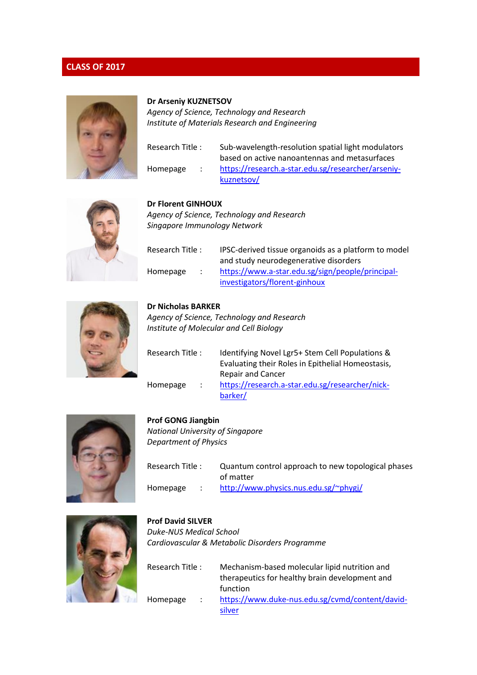

#### **Dr Arseniy KUZNETSOV**

*Agency of Science, Technology and Research Institute of Materials Research and Engineering*

| Homepage |  |
|----------|--|

Research Title : Sub-wavelength-resolution spatial light modulators based on active nanoantennas and metasurfaces [https://research.a-star.edu.sg/researcher/arseniy](https://research.a-star.edu.sg/researcher/arseniy-kuznetsov/)[kuznetsov/](https://research.a-star.edu.sg/researcher/arseniy-kuznetsov/)



## **Dr Florent GINHOUX**

*Agency of Science, Technology and Research Singapore Immunology Network*

| Research Title: |  | IPSC-derived tissue organoids as a platform to model |
|-----------------|--|------------------------------------------------------|
|                 |  | and study neurodegenerative disorders                |
| Homepage        |  | https://www.a-star.edu.sg/sign/people/principal-     |
|                 |  | investigators/florent-ginhoux                        |



## **Dr Nicholas BARKER**

*Agency of Science, Technology and Research Institute of Molecular and Cell Biology*

| Research Title: |                | Identifying Novel Lgr5+ Stem Cell Populations &   |
|-----------------|----------------|---------------------------------------------------|
|                 |                | Evaluating their Roles in Epithelial Homeostasis, |
|                 |                | <b>Repair and Cancer</b>                          |
| Homepage        | $\mathbb{R}^n$ | https://research.a-star.edu.sg/researcher/nick-   |
|                 |                | barker/                                           |



## **Prof GONG Jiangbin**

*National University of Singapore Department of Physics*

| Research Title: | Quantum control approach to new topological phases |
|-----------------|----------------------------------------------------|
|                 | of matter                                          |
| Homepage        | http://www.physics.nus.edu.sg/~phygi/              |



## **Prof David SILVER** *Duke-NUS Medical School Cardiovascular & Metabolic Disorders Programme*

Research Title : Mechanism-based molecular lipid nutrition and therapeutics for healthy brain development and function Homepage : [https://www.duke-nus.edu.sg/cvmd/content/david](https://www.duke-nus.edu.sg/cvmd/content/david-silver)[silver](https://www.duke-nus.edu.sg/cvmd/content/david-silver)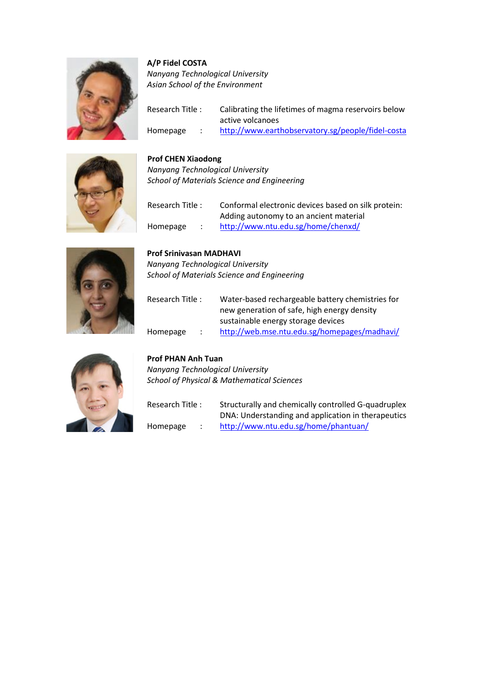

## **A/P Fidel COSTA**

*Nanyang Technological University Asian School of the Environment*

| Research Title: |  | Calibrating the lifetimes of magma reservoirs below |
|-----------------|--|-----------------------------------------------------|
|                 |  | active volcanoes                                    |
| Homepage        |  | http://www.earthobservatory.sg/people/fidel-costa   |



## **Prof CHEN Xiaodong**

*Nanyang Technological University School of Materials Science and Engineering*

| Research Title: |  | Conformal electronic devices based on silk protein: |
|-----------------|--|-----------------------------------------------------|
|                 |  | Adding autonomy to an ancient material              |
| Homepage        |  | http://www.ntu.edu.sg/home/chenxd/                  |



# **Prof Srinivasan MADHAVI**

*Nanyang Technological University School of Materials Science and Engineering*

| Research Title: |        | Water-based rechargeable battery chemistries for<br>new generation of safe, high energy density |
|-----------------|--------|-------------------------------------------------------------------------------------------------|
|                 |        | sustainable energy storage devices                                                              |
| Homepage        | $\sim$ | http://web.mse.ntu.edu.sg/homepages/madhavi/                                                    |



## **Prof PHAN Anh Tuan**

*Nanyang Technological University School of Physical & Mathematical Sciences*

| Research Title: |  | Structurally and chemically controlled G-quadruplex |
|-----------------|--|-----------------------------------------------------|
|                 |  | DNA: Understanding and application in therapeutics  |
| Homepage        |  | http://www.ntu.edu.sg/home/phantuan/                |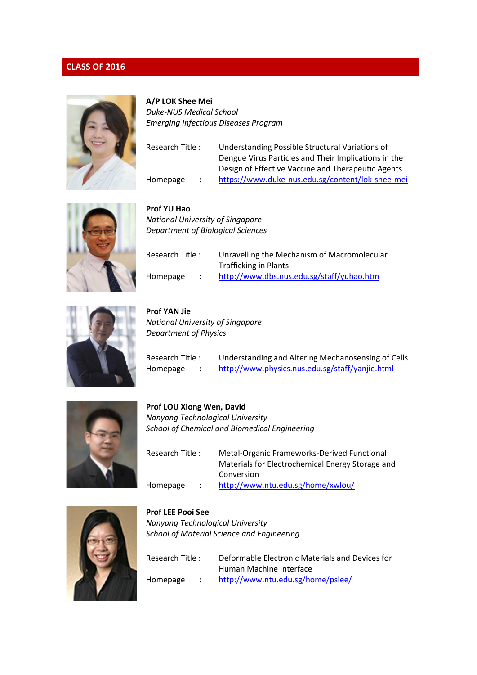

**A/P LOK Shee Mei** *Duke-NUS Medical School Emerging Infectious Diseases Program*

| Understanding Possible Structural Variations of      |
|------------------------------------------------------|
| Dengue Virus Particles and Their Implications in the |
| Design of Effective Vaccine and Therapeutic Agents   |
| https://www.duke-nus.edu.sg/content/lok-shee-mei     |
|                                                      |



**Prof YU Hao** *National University of Singapore Department of Biological Sciences*

| Research Title : |  | Unravelling the Mechanism of Macromolecular |
|------------------|--|---------------------------------------------|
|                  |  | <b>Trafficking in Plants</b>                |
| Homepage         |  | http://www.dbs.nus.edu.sg/staff/yuhao.htm   |



**Prof YAN Jie** *National University of Singapore Department of Physics*

Research Title : Understanding and Altering Mechanosensing of Cells Homepage : <http://www.physics.nus.edu.sg/staff/yanjie.html>



**Prof LOU Xiong Wen, David** *Nanyang Technological University School of Chemical and Biomedical Engineering*

| Research Title: | Metal-Organic Frameworks-Derived Functional      |
|-----------------|--------------------------------------------------|
|                 | Materials for Electrochemical Energy Storage and |
|                 | Conversion                                       |
| Homepage        | http://www.ntu.edu.sg/home/xwlou/                |



*Nanyang Technological University School of Material Science and Engineering*

**Prof LEE Pooi See**

Research Title : Deformable Electronic Materials and Devices for Human Machine Interface Homepage : <http://www.ntu.edu.sg/home/pslee/>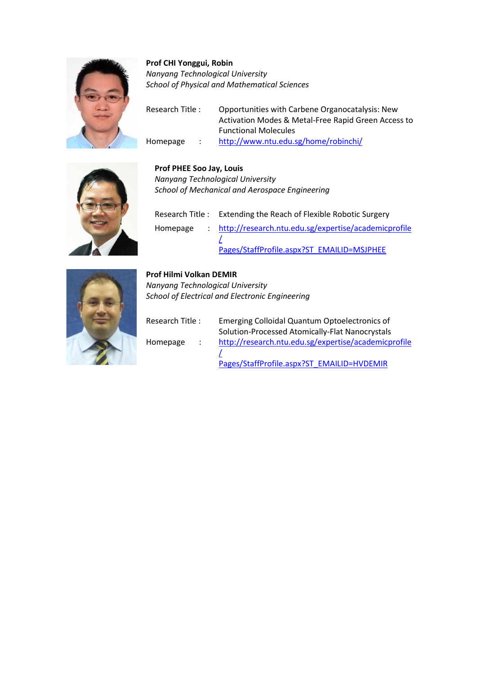

## **Prof CHI Yonggui, Robin** *Nanyang Technological University School of Physical and Mathematical Sciences*

Research Title : Opportunities with Carbene Organocatalysis: New Activation Modes & Metal-Free Rapid Green Access to Functional Molecules Homepage : <http://www.ntu.edu.sg/home/robinchi/>



## **Prof PHEE Soo Jay, Louis**

*Nanyang Technological University School of Mechanical and Aerospace Engineering*

| Research Title : Extending the Reach of Flexible Robotic Surgery |
|------------------------------------------------------------------|
| Homepage : http://research.ntu.edu.sg/expertise/academicprofile  |
| Pages/StaffProfile.aspx?ST EMAILID=MSJPHEE                       |



## **Prof Hilmi Volkan DEMIR**

*Nanyang Technological University School of Electrical and Electronic Engineering*

| Research Title: |                     | Emerging Colloidal Quantum Optoelectronics of        |
|-----------------|---------------------|------------------------------------------------------|
|                 |                     | Solution-Processed Atomically-Flat Nanocrystals      |
| Homepage        | $\sim$ 1.000 $\sim$ | http://research.ntu.edu.sg/expertise/academicprofile |
|                 |                     |                                                      |
|                 |                     | Pages/StaffProfile.aspx?ST EMAILID=HVDEMIR           |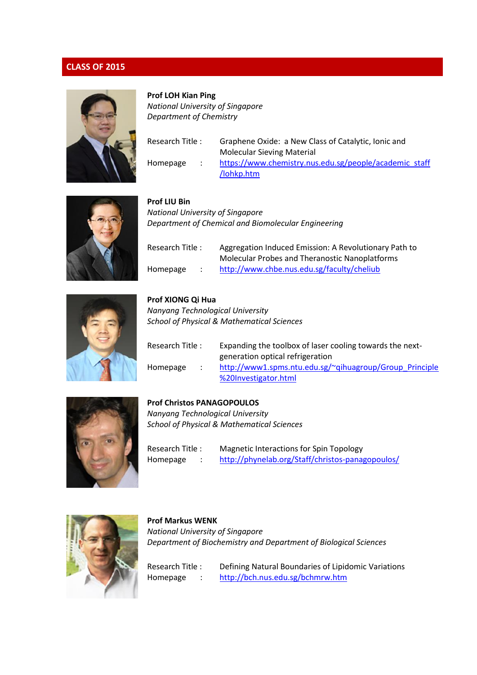

## **Prof LOH Kian Ping**

*National University of Singapore Department of Chemistry*

| Research Title : |  | Graphene Oxide: a New Class of Catalytic, Ionic and    |
|------------------|--|--------------------------------------------------------|
|                  |  | <b>Molecular Sieving Material</b>                      |
| Homepage         |  | https://www.chemistry.nus.edu.sg/people/academic_staff |
|                  |  | /lohkp.htm                                             |



| <b>Prof LIU Bin</b>                                 |
|-----------------------------------------------------|
| <b>National University of Singapore</b>             |
| Department of Chemical and Biomolecular Engineering |

| Research Title: |  | Aggregation Induced Emission: A Revolutionary Path to |
|-----------------|--|-------------------------------------------------------|
|                 |  | <b>Molecular Probes and Theranostic Nanoplatforms</b> |
| Homepage        |  | http://www.chbe.nus.edu.sg/faculty/cheliub            |



## **Prof XIONG Qi Hua** *Nanyang Technological University*

*School of Physical & Mathematical Sciences*

| Research Title : | Expanding the toolbox of laser cooling towards the next- |
|------------------|----------------------------------------------------------|
|                  | generation optical refrigeration                         |
| Homepage         | http://www1.spms.ntu.edu.sg/~qihuagroup/Group Principle  |
|                  | %20Investigator.html                                     |



## **Prof Christos PANAGOPOULOS**

*Nanyang Technological University School of Physical & Mathematical Sciences*

Research Title : Magnetic Interactions for Spin Topology Homepage : <http://phynelab.org/Staff/christos-panagopoulos/>



## **Prof Markus WENK** *National University of Singapore Department of Biochemistry and Department of Biological Sciences*

Research Title : Defining Natural Boundaries of Lipidomic Variations Homepage : <http://bch.nus.edu.sg/bchmrw.htm>